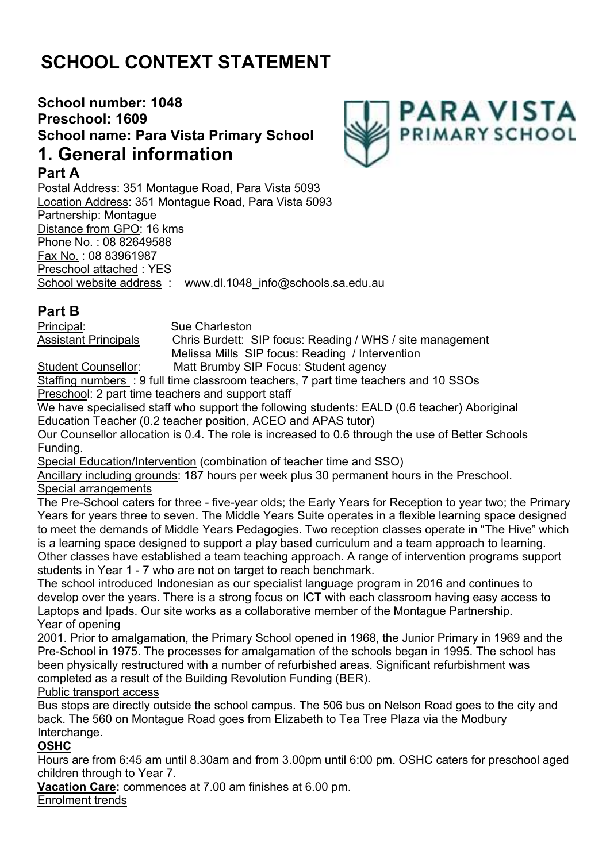# **SCHOOL CONTEXT STATEMENT**

## **School number: 1048 Preschool: 1609 School name: Para Vista Primary School 1. General information**



### **Part A**

Postal Address: 351 Montague Road, Para Vista 5093 Location Address: 351 Montague Road, Para Vista 5093 Partnership: Montague Distance from GPO: 16 kms Phone No. : 08 82649588 Fax No. : 08 83961987 Preschool attached : YES School website address : www.dl.1048 info@schools.sa.edu.au

## **Part B**

Principal: Sue Charleston Assistant Principals Chris Burdett: SIP focus: Reading / WHS / site management Melissa Mills SIP focus: Reading / Intervention

Student Counsellor: Matt Brumby SIP Focus: Student agency

Staffing numbers : 9 full time classroom teachers, 7 part time teachers and 10 SSOs Preschool: 2 part time teachers and support staff

We have specialised staff who support the following students: EALD (0.6 teacher) Aboriginal Education Teacher (0.2 teacher position, ACEO and APAS tutor)

Our Counsellor allocation is 0.4. The role is increased to 0.6 through the use of Better Schools Funding.

Special Education/Intervention (combination of teacher time and SSO)

Ancillary including grounds: 187 hours per week plus 30 permanent hours in the Preschool. Special arrangements

The Pre-School caters for three - five-year olds; the Early Years for Reception to year two; the Primary Years for years three to seven. The Middle Years Suite operates in a flexible learning space designed to meet the demands of Middle Years Pedagogies. Two reception classes operate in "The Hive" which is a learning space designed to support a play based curriculum and a team approach to learning. Other classes have established a team teaching approach. A range of intervention programs support students in Year 1 - 7 who are not on target to reach benchmark.

The school introduced Indonesian as our specialist language program in 2016 and continues to develop over the years. There is a strong focus on ICT with each classroom having easy access to Laptops and Ipads. Our site works as a collaborative member of the Montague Partnership. Year of opening

2001. Prior to amalgamation, the Primary School opened in 1968, the Junior Primary in 1969 and the Pre-School in 1975. The processes for amalgamation of the schools began in 1995. The school has been physically restructured with a number of refurbished areas. Significant refurbishment was completed as a result of the Building Revolution Funding (BER).

Public transport access

Bus stops are directly outside the school campus. The 506 bus on Nelson Road goes to the city and back. The 560 on Montague Road goes from Elizabeth to Tea Tree Plaza via the Modbury Interchange.

### **OSHC**

Hours are from 6:45 am until 8.30am and from 3.00pm until 6:00 pm. OSHC caters for preschool aged children through to Year 7.

**Vacation Care:** commences at 7.00 am finishes at 6.00 pm.

Enrolment trends